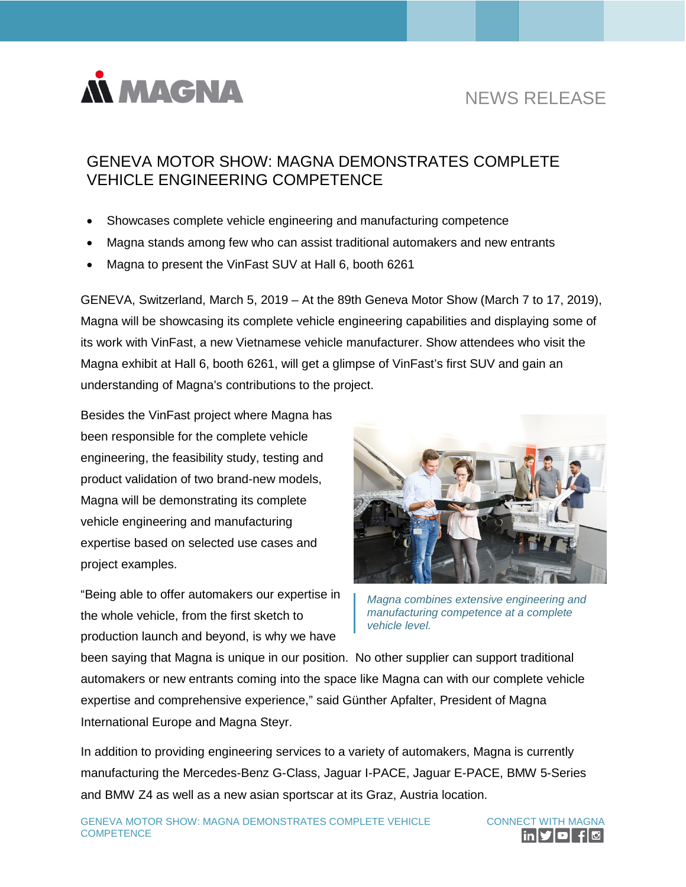

# NEWS RELEASE

## GENEVA MOTOR SHOW: MAGNA DEMONSTRATES COMPLETE VEHICLE ENGINEERING COMPETENCE

- Showcases complete vehicle engineering and manufacturing competence
- Magna stands among few who can assist traditional automakers and new entrants
- Magna to present the VinFast SUV at Hall 6, booth 6261

GENEVA, Switzerland, March 5, 2019 – At the 89th Geneva Motor Show (March 7 to 17, 2019), Magna will be showcasing its complete vehicle engineering capabilities and displaying some of its work with VinFast, a new Vietnamese vehicle manufacturer. Show attendees who visit the Magna exhibit at Hall 6, booth 6261, will get a glimpse of VinFast's first SUV and gain an understanding of Magna's contributions to the project.

Besides the VinFast project where Magna has been responsible for the complete vehicle engineering, the feasibility study, testing and product validation of two brand-new models, Magna will be demonstrating its complete vehicle engineering and manufacturing expertise based on selected use cases and project examples.

"Being able to offer automakers our expertise in the whole vehicle, from the first sketch to production launch and beyond, is why we have



*Magna combines extensive engineering and manufacturing competence at a complete vehicle level.*

been saying that Magna is unique in our position. No other supplier can support traditional automakers or new entrants coming into the space like Magna can with our complete vehicle expertise and comprehensive experience," said Günther Apfalter, President of Magna International Europe and Magna Steyr.

In addition to providing engineering services to a variety of automakers, Magna is currently manufacturing the Mercedes-Benz G-Class, Jaguar I-PACE, Jaguar E-PACE, BMW 5-Series and BMW Z4 as well as a new asian sportscar at its Graz, Austria location.

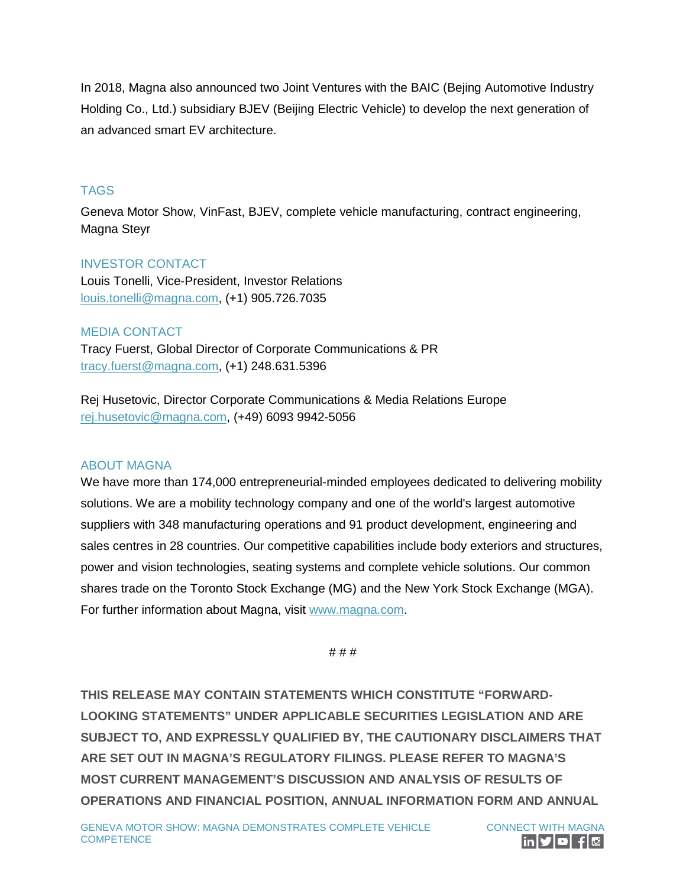In 2018, Magna also announced two Joint Ventures with the BAIC (Bejing Automotive Industry Holding Co., Ltd.) subsidiary BJEV (Beijing Electric Vehicle) to develop the next generation of an advanced smart EV architecture.

### **TAGS**

Geneva Motor Show, VinFast, BJEV, complete vehicle manufacturing, contract engineering, Magna Steyr

#### INVESTOR CONTACT

Louis Tonelli, Vice-President, Investor Relations [louis.tonelli@magna.com,](mailto:louis.tonelli@magna.com) (+1) 905.726.7035

#### MEDIA CONTACT

Tracy Fuerst, Global Director of Corporate Communications & PR [tracy.fuerst@magna.com,](mailto:tracy.fuerst@magna.com) (+1) 248.631.5396

Rej Husetovic, Director Corporate Communications & Media Relations Europe [rej.husetovic@magna.com,](mailto:rej.husetovic@magna.com) (+49) 6093 9942-5056

#### ABOUT MAGNA

We have more than 174,000 entrepreneurial-minded employees dedicated to delivering mobility solutions. We are a mobility technology company and one of the world's largest automotive suppliers with 348 manufacturing operations and 91 product development, engineering and sales centres in 28 countries. Our competitive capabilities include body exteriors and structures, power and vision technologies, seating systems and complete vehicle solutions. Our common shares trade on the Toronto Stock Exchange (MG) and the New York Stock Exchange (MGA). For further information about Magna, visit [www.magna.com.](http://www.magna.com/)

# # #

**THIS RELEASE MAY CONTAIN STATEMENTS WHICH CONSTITUTE "FORWARD-LOOKING STATEMENTS" UNDER APPLICABLE SECURITIES LEGISLATION AND ARE SUBJECT TO, AND EXPRESSLY QUALIFIED BY, THE CAUTIONARY DISCLAIMERS THAT ARE SET OUT IN MAGNA'S REGULATORY FILINGS. PLEASE REFER TO MAGNA'S MOST CURRENT MANAGEMENT'S DISCUSSION AND ANALYSIS OF RESULTS OF OPERATIONS AND FINANCIAL POSITION, ANNUAL INFORMATION FORM AND ANNUAL**